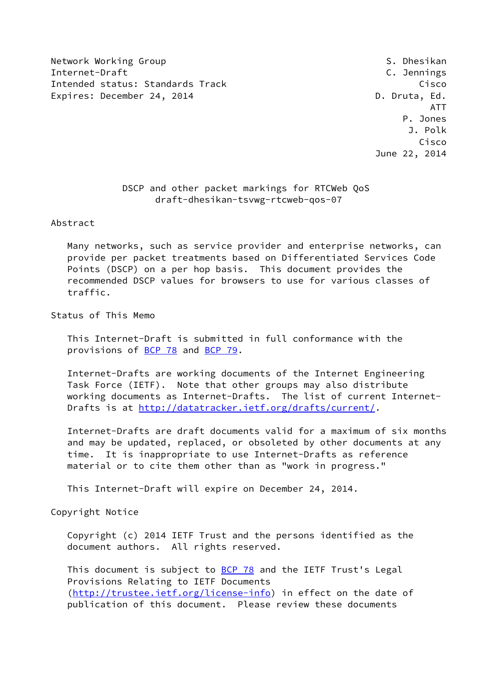Network Working Group States of the States of the States of States of States of States of States of States of S Internet-Draft C. Jennings Intended status: Standards Track Cisco Cisco Cisco Expires: December 24, 2014 **D. D. Druta, Ed.** 

 ATT P. Jones J. Polk Cisco June 22, 2014

# DSCP and other packet markings for RTCWeb QoS draft-dhesikan-tsvwg-rtcweb-qos-07

Abstract

 Many networks, such as service provider and enterprise networks, can provide per packet treatments based on Differentiated Services Code Points (DSCP) on a per hop basis. This document provides the recommended DSCP values for browsers to use for various classes of traffic.

Status of This Memo

 This Internet-Draft is submitted in full conformance with the provisions of [BCP 78](https://datatracker.ietf.org/doc/pdf/bcp78) and [BCP 79](https://datatracker.ietf.org/doc/pdf/bcp79).

 Internet-Drafts are working documents of the Internet Engineering Task Force (IETF). Note that other groups may also distribute working documents as Internet-Drafts. The list of current Internet- Drafts is at<http://datatracker.ietf.org/drafts/current/>.

 Internet-Drafts are draft documents valid for a maximum of six months and may be updated, replaced, or obsoleted by other documents at any time. It is inappropriate to use Internet-Drafts as reference material or to cite them other than as "work in progress."

This Internet-Draft will expire on December 24, 2014.

Copyright Notice

 Copyright (c) 2014 IETF Trust and the persons identified as the document authors. All rights reserved.

This document is subject to **[BCP 78](https://datatracker.ietf.org/doc/pdf/bcp78)** and the IETF Trust's Legal Provisions Relating to IETF Documents [\(http://trustee.ietf.org/license-info](http://trustee.ietf.org/license-info)) in effect on the date of publication of this document. Please review these documents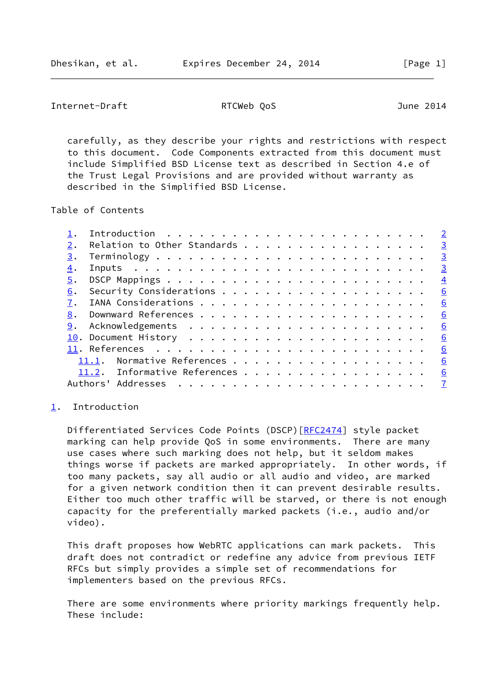<span id="page-1-1"></span>Internet-Draft RTCWeb QoS June 2014

 carefully, as they describe your rights and restrictions with respect to this document. Code Components extracted from this document must include Simplified BSD License text as described in Section 4.e of the Trust Legal Provisions and are provided without warranty as described in the Simplified BSD License.

Table of Contents

|    | Introduction $\cdots \cdots \cdots \cdots \cdots$ |                         |
|----|---------------------------------------------------|-------------------------|
| 2. | Relation to Other Standards                       | $\overline{\mathbf{3}}$ |
| 3. |                                                   | $\frac{3}{2}$           |
| 4. |                                                   |                         |
| 5. |                                                   | $\overline{4}$          |
| 6. |                                                   | 6                       |
| 7. |                                                   | 6                       |
|    |                                                   | 6                       |
|    |                                                   | <u>_6</u>               |
|    |                                                   | 6                       |
|    |                                                   | 6                       |
|    | 11.1. Normative References                        | 6                       |
|    | 11.2. Informative References 6                    |                         |
|    |                                                   |                         |

#### <span id="page-1-0"></span>[1](#page-1-0). Introduction

Differentiated Services Code Points (DSCP) [[RFC2474](https://datatracker.ietf.org/doc/pdf/rfc2474)] style packet marking can help provide QoS in some environments. There are many use cases where such marking does not help, but it seldom makes things worse if packets are marked appropriately. In other words, if too many packets, say all audio or all audio and video, are marked for a given network condition then it can prevent desirable results. Either too much other traffic will be starved, or there is not enough capacity for the preferentially marked packets (i.e., audio and/or video).

 This draft proposes how WebRTC applications can mark packets. This draft does not contradict or redefine any advice from previous IETF RFCs but simply provides a simple set of recommendations for implementers based on the previous RFCs.

 There are some environments where priority markings frequently help. These include: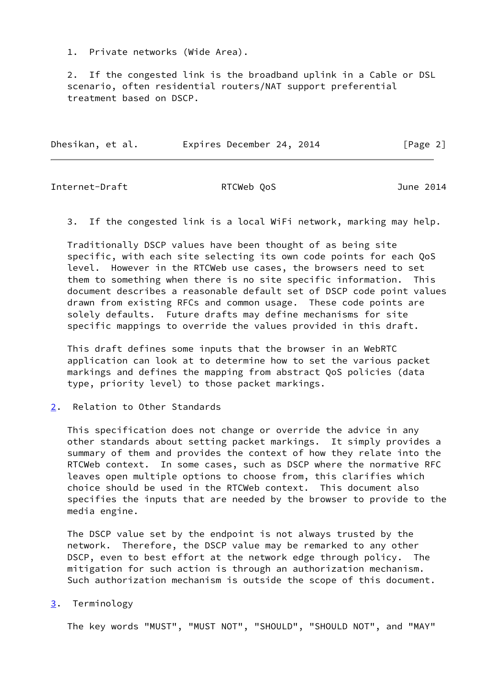1. Private networks (Wide Area).

 2. If the congested link is the broadband uplink in a Cable or DSL scenario, often residential routers/NAT support preferential treatment based on DSCP.

| Dhesikan, et al. | Expires December 24, 2014 | [Page 2] |
|------------------|---------------------------|----------|
|                  |                           |          |

<span id="page-2-1"></span>Internet-Draft RTCWeb QoS June 2014

3. If the congested link is a local WiFi network, marking may help.

 Traditionally DSCP values have been thought of as being site specific, with each site selecting its own code points for each QoS level. However in the RTCWeb use cases, the browsers need to set them to something when there is no site specific information. This document describes a reasonable default set of DSCP code point values drawn from existing RFCs and common usage. These code points are solely defaults. Future drafts may define mechanisms for site specific mappings to override the values provided in this draft.

 This draft defines some inputs that the browser in an WebRTC application can look at to determine how to set the various packet markings and defines the mapping from abstract QoS policies (data type, priority level) to those packet markings.

<span id="page-2-0"></span>[2](#page-2-0). Relation to Other Standards

 This specification does not change or override the advice in any other standards about setting packet markings. It simply provides a summary of them and provides the context of how they relate into the RTCWeb context. In some cases, such as DSCP where the normative RFC leaves open multiple options to choose from, this clarifies which choice should be used in the RTCWeb context. This document also specifies the inputs that are needed by the browser to provide to the media engine.

 The DSCP value set by the endpoint is not always trusted by the network. Therefore, the DSCP value may be remarked to any other DSCP, even to best effort at the network edge through policy. The mitigation for such action is through an authorization mechanism. Such authorization mechanism is outside the scope of this document.

<span id="page-2-2"></span>[3](#page-2-2). Terminology

The key words "MUST", "MUST NOT", "SHOULD", "SHOULD NOT", and "MAY"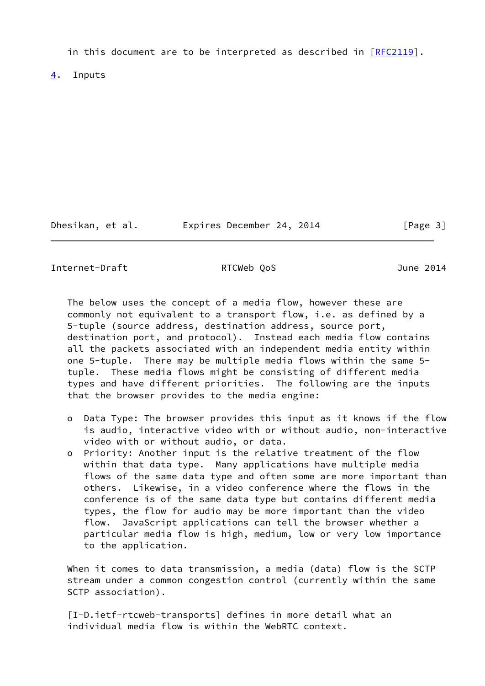in this document are to be interpreted as described in  $[REC2119]$ .

<span id="page-3-0"></span>[4](#page-3-0). Inputs

Dhesikan, et al. Expires December 24, 2014 [Page 3]

<span id="page-3-1"></span>Internet-Draft RTCWeb QoS June 2014

 The below uses the concept of a media flow, however these are commonly not equivalent to a transport flow, i.e. as defined by a 5-tuple (source address, destination address, source port, destination port, and protocol). Instead each media flow contains all the packets associated with an independent media entity within one 5-tuple. There may be multiple media flows within the same 5 tuple. These media flows might be consisting of different media types and have different priorities. The following are the inputs that the browser provides to the media engine:

- o Data Type: The browser provides this input as it knows if the flow is audio, interactive video with or without audio, non-interactive video with or without audio, or data.
- o Priority: Another input is the relative treatment of the flow within that data type. Many applications have multiple media flows of the same data type and often some are more important than others. Likewise, in a video conference where the flows in the conference is of the same data type but contains different media types, the flow for audio may be more important than the video flow. JavaScript applications can tell the browser whether a particular media flow is high, medium, low or very low importance to the application.

 When it comes to data transmission, a media (data) flow is the SCTP stream under a common congestion control (currently within the same SCTP association).

 [I-D.ietf-rtcweb-transports] defines in more detail what an individual media flow is within the WebRTC context.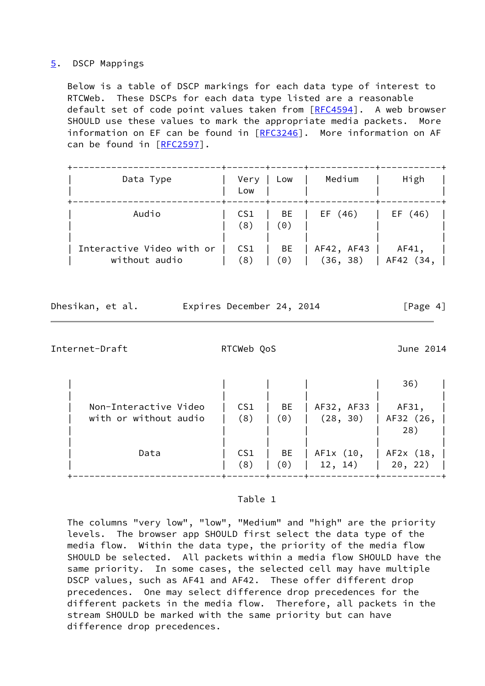### <span id="page-4-0"></span>[5](#page-4-0). DSCP Mappings

 Below is a table of DSCP markings for each data type of interest to RTCWeb. These DSCPs for each data type listed are a reasonable default set of code point values taken from [\[RFC4594](https://datatracker.ietf.org/doc/pdf/rfc4594)]. A web browser SHOULD use these values to mark the appropriate media packets. More information on EF can be found in [[RFC3246](https://datatracker.ietf.org/doc/pdf/rfc3246)]. More information on AF can be found in [\[RFC2597](https://datatracker.ietf.org/doc/pdf/rfc2597)].

| Data Type                                  | Very<br>Low            | Low       | Medium                 | High                 |
|--------------------------------------------|------------------------|-----------|------------------------|----------------------|
| Audio                                      | CS1<br>(8)             | BE<br>(0) | EF (46)                | EF (46)              |
| Interactive Video with or<br>without audio | CS <sub>1</sub><br>(8) | BE<br>(0) | AF42, AF43<br>(36, 38) | AF41,<br>  AF42 (34, |

Dhesikan, et al. Expires December 24, 2014 [Page 4]

Internet-Draft RTCWeb QoS June 2014

|                       |                 |     |            | 36)           |
|-----------------------|-----------------|-----|------------|---------------|
|                       |                 |     |            |               |
| Non-Interactive Video | CS <sub>1</sub> | BE  | AF32, AF33 | AF31,         |
| with or without audio | (8)             | (0) | (28, 30)   | $AF32$ $(26,$ |
|                       |                 |     |            | 28)           |
|                       |                 |     |            |               |
| Data                  | CS1             | BE  | AF1x (10,  | AF2x (18,     |
|                       | (8)             | (0) | 12, 14)    | 20, 22)       |
|                       |                 |     |            |               |

#### Table 1

 The columns "very low", "low", "Medium" and "high" are the priority levels. The browser app SHOULD first select the data type of the media flow. Within the data type, the priority of the media flow SHOULD be selected. All packets within a media flow SHOULD have the same priority. In some cases, the selected cell may have multiple DSCP values, such as AF41 and AF42. These offer different drop precedences. One may select difference drop precedences for the different packets in the media flow. Therefore, all packets in the stream SHOULD be marked with the same priority but can have difference drop precedences.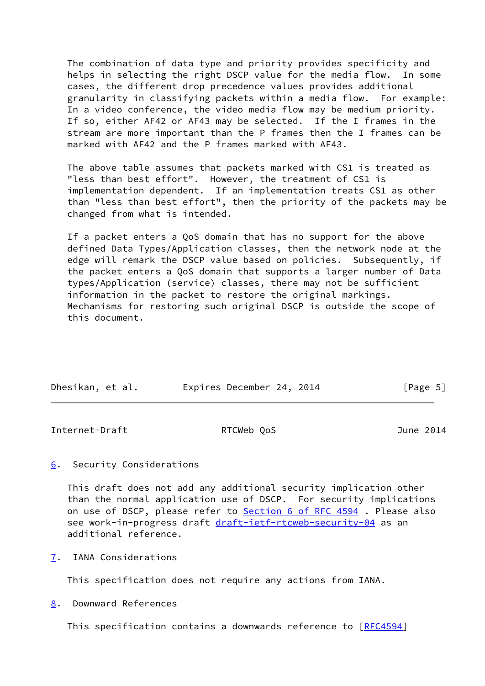The combination of data type and priority provides specificity and helps in selecting the right DSCP value for the media flow. In some cases, the different drop precedence values provides additional granularity in classifying packets within a media flow. For example: In a video conference, the video media flow may be medium priority. If so, either AF42 or AF43 may be selected. If the I frames in the stream are more important than the P frames then the I frames can be marked with AF42 and the P frames marked with AF43.

 The above table assumes that packets marked with CS1 is treated as "less than best effort". However, the treatment of CS1 is implementation dependent. If an implementation treats CS1 as other than "less than best effort", then the priority of the packets may be changed from what is intended.

 If a packet enters a QoS domain that has no support for the above defined Data Types/Application classes, then the network node at the edge will remark the DSCP value based on policies. Subsequently, if the packet enters a QoS domain that supports a larger number of Data types/Application (service) classes, there may not be sufficient information in the packet to restore the original markings. Mechanisms for restoring such original DSCP is outside the scope of this document.

| Dhesikan, et al. | Expires December 24, 2014 |  | [Page 5] |  |
|------------------|---------------------------|--|----------|--|

<span id="page-5-1"></span>Internet-Draft RTCWeb QoS June 2014

## <span id="page-5-0"></span>[6](#page-5-0). Security Considerations

 This draft does not add any additional security implication other than the normal application use of DSCP. For security implications on use of DSCP, please refer to Section [6 of RFC 4594](https://datatracker.ietf.org/doc/pdf/rfc4594#section-6). Please also see work-in-progress draft [draft-ietf-rtcweb-security-04](https://datatracker.ietf.org/doc/pdf/draft-ietf-rtcweb-security-04) as an additional reference.

<span id="page-5-2"></span>[7](#page-5-2). IANA Considerations

This specification does not require any actions from IANA.

<span id="page-5-3"></span>[8](#page-5-3). Downward References

This specification contains a downwards reference to [\[RFC4594](https://datatracker.ietf.org/doc/pdf/rfc4594)]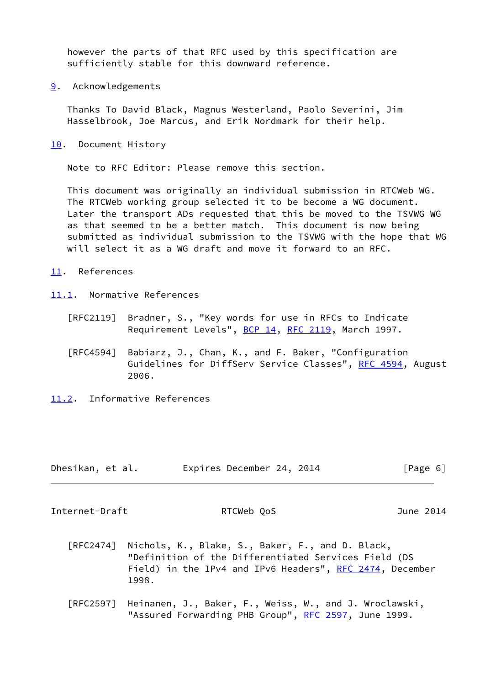however the parts of that RFC used by this specification are sufficiently stable for this downward reference.

<span id="page-6-0"></span>[9](#page-6-0). Acknowledgements

 Thanks To David Black, Magnus Westerland, Paolo Severini, Jim Hasselbrook, Joe Marcus, and Erik Nordmark for their help.

<span id="page-6-1"></span>[10.](#page-6-1) Document History

Note to RFC Editor: Please remove this section.

 This document was originally an individual submission in RTCWeb WG. The RTCWeb working group selected it to be become a WG document. Later the transport ADs requested that this be moved to the TSVWG WG as that seemed to be a better match. This document is now being submitted as individual submission to the TSVWG with the hope that WG will select it as a WG draft and move it forward to an RFC.

- <span id="page-6-2"></span>[11.](#page-6-2) References
- <span id="page-6-3"></span>[11.1](#page-6-3). Normative References
	- [RFC2119] Bradner, S., "Key words for use in RFCs to Indicate Requirement Levels", [BCP 14](https://datatracker.ietf.org/doc/pdf/bcp14), [RFC 2119](https://datatracker.ietf.org/doc/pdf/rfc2119), March 1997.
	- [RFC4594] Babiarz, J., Chan, K., and F. Baker, "Configuration Guidelines for DiffServ Service Classes", [RFC 4594](https://datatracker.ietf.org/doc/pdf/rfc4594), August 2006.
- <span id="page-6-4"></span>[11.2](#page-6-4). Informative References

| Dhesikan, et al. | Expires December 24, 2014 | [Page 6] |
|------------------|---------------------------|----------|
|------------------|---------------------------|----------|

<span id="page-6-5"></span>Internet-Draft RTCWeb QoS June 2014

- [RFC2474] Nichols, K., Blake, S., Baker, F., and D. Black, "Definition of the Differentiated Services Field (DS Field) in the IPv4 and IPv6 Headers", [RFC 2474](https://datatracker.ietf.org/doc/pdf/rfc2474), December 1998.
- [RFC2597] Heinanen, J., Baker, F., Weiss, W., and J. Wroclawski, "Assured Forwarding PHB Group", [RFC 2597,](https://datatracker.ietf.org/doc/pdf/rfc2597) June 1999.